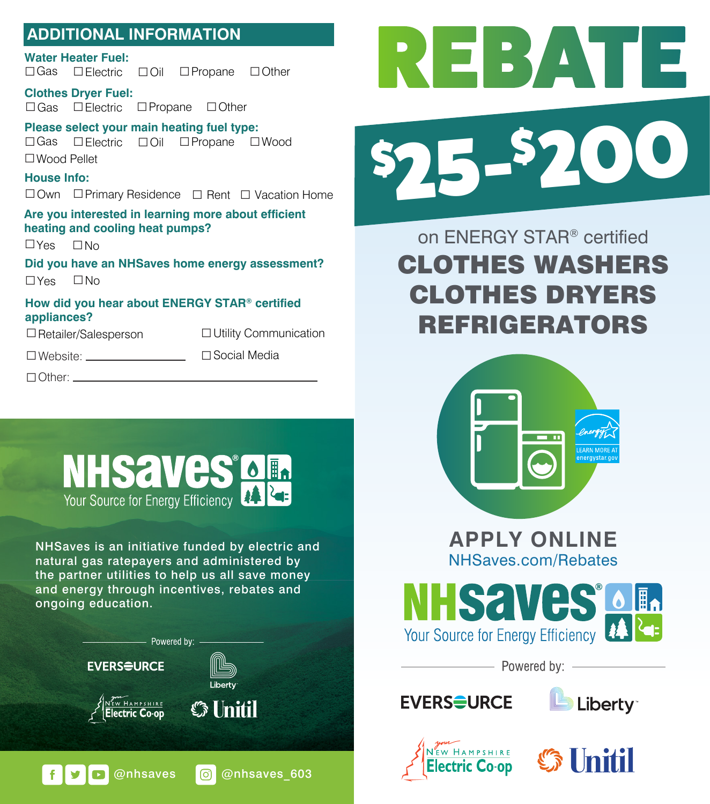## **ADDITIONAL INFORMATION**

□Gas □Electric □Oil

**□**Gas **□**Electric **□**Propane **□**Other **Clothes Dryer Fuel:**

**Please select your main heating fuel type: □**Gas **□**Electric **□**Oil **□**Propane **□**Wood **□**Wood Pellet

**House Info: □**Own **□**Primary Residence **□** Rent **□** Vacation Home

### **Are you interested in learning more about efficient heating and cooling heat pumps?**

**□**Yes **□**No

**Did you have an NHSaves home energy assessment? □**Yes **□**No

#### **How did you hear about ENERGY STAR® certified appliances?**

**□**Retailer/Salesperson

**□**Utility Communication

**□**Website: **□**Social Media

**□**Other:



NHSaves is an initiative funded by electric and natural gas ratepayers and administered by the partner utilities to help us all save money and energy through incentives, rebates and ongoing education.





# on ENERGY STAR® certified CLOTHES WASHERS CLOTHES DRYERS REFRIGERATORS



**APPLY ONLINE** NHSaves.com/Rebates



Powered by: ——————

**EVERS<del>Q</del>URCE**